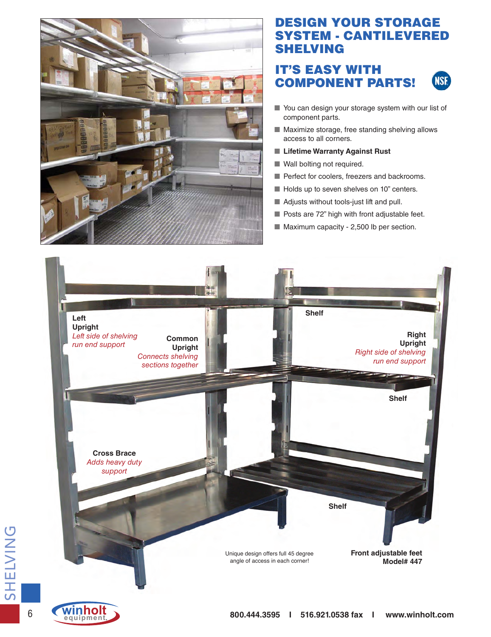

# DESIGN YOUR STORAGE SYSTEM - CANTILEVERED SHELVING

### IT'S EASY WITH COMPONENT PARTS! **NSF**

- You can design your storage system with our list of component parts.
- Maximize storage, free standing shelving allows access to all corners.
- Lifetime Warranty Against Rust
- Wall bolting not required.
- Perfect for coolers, freezers and backrooms.
- Holds up to seven shelves on 10" centers.
- Adjusts without tools-just lift and pull.
- Posts are 72" high with front adjustable feet.
- Maximum capacity 2,500 lb per section.